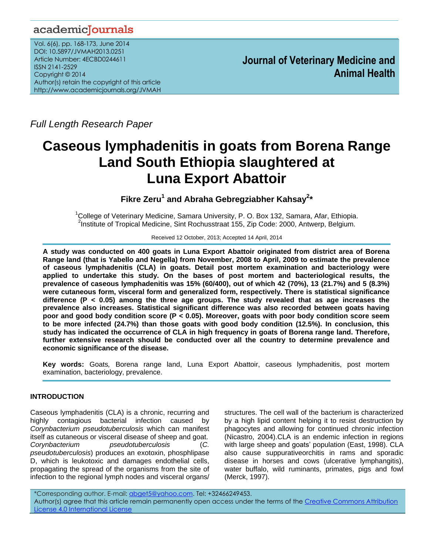# academicJournals

Vol. 6(6), pp. 168-173, June 2014 DOI: 10.5897/JVMAH2013.0251 Article Number: 4ECBD0244611 ISSN 2141-2529 Copyright © 2014 Author(s) retain the copyright of this article http://www.academicjournals.org/JVMAH

**Journal of Veterinary Medicine and Animal Health**

*Full Length Research Paper*

# **Caseous lymphadenitis in goats from Borena Range Land South Ethiopia slaughtered at Luna Export Abattoir**

**Fikre Zeru<sup>1</sup> and Abraha Gebregziabher Kahsay<sup>2</sup> \***

<sup>1</sup>College of Veterinary Medicine, Samara University, P. O. Box 132, Samara, Afar, Ethiopia. <sup>2</sup>Institute of Tropical Medicine, Sint Rochusstraat 155, Zip Code: 2000, Antwerp, Belgium.

Received 12 October, 2013; Accepted 14 April, 2014

**A study was conducted on 400 goats in Luna Export Abattoir originated from district area of Borena Range land (that is Yabello and Negella) from November, 2008 to April, 2009 to estimate the prevalence of caseous lymphadenitis (CLA) in goats. Detail post mortem examination and bacteriology were applied to undertake this study. On the bases of post mortem and bacteriological results, the prevalence of caseous lymphadenitis was 15% (60/400), out of which 42 (70%), 13 (21.7%) and 5 (8.3%) were cutaneous form, visceral form and generalized form, respectively. There is statistical significance difference (P < 0.05) among the three age groups. The study revealed that as age increases the prevalence also increases. Statistical significant difference was also recorded between goats having poor and good body condition score (P < 0.05). Moreover, goats with poor body condition score seem to be more infected (24.7%) than those goats with good body condition (12.5%). In conclusion, this study has indicated the occurrence of CLA in high frequency in goats of Borena range land. Therefore, further extensive research should be conducted over all the country to determine prevalence and economic significance of the disease.**

**Key words:** Goats*,* Borena range land, Luna Export Abattoir, caseous lymphadenitis, post mortem examination, bacteriology, prevalence.

# **INTRODUCTION**

Caseous lymphadenitis (CLA) is a chronic, recurring and highly contagious bacterial infection caused by *Corynbacterium pseudotuberculosis* which can manifest itself as cutaneous or visceral disease of sheep and goat. *Corynbacterium pseudotuberculosis* (*C. pseudotuberculosis*) produces an exotoxin, phosphlipase D, which is leukotoxic and damages endothelial cells, propagating the spread of the organisms from the site of infection to the regional lymph nodes and visceral organs/

structures. The cell wall of the bacterium is characterized by a high lipid content helping it to resist destruction by phagocytes and allowing for continued chronic infection (Nicastro, 2004).CLA is an endemic infection in regions with large sheep and goats' population (East, 1998). CLA also cause suppurativeorchitis in rams and sporadic disease in horses and cows (ulcerative lymphangitis), water buffalo, wild ruminants, primates, pigs and fowl (Merck, 1997).

\*Corresponding author. E-mail: [abget5@yahoo.com.](mailto:abget5@yahoo.com) Tel: +32466249453. Author(s) agree that this article remain permanently open access under the terms of the [Creative Commons Attribution](http://creativecommons.org/licenses/by/4.0/deed.en_US) [License 4.0 International License](http://creativecommons.org/licenses/by/4.0/deed.en_US)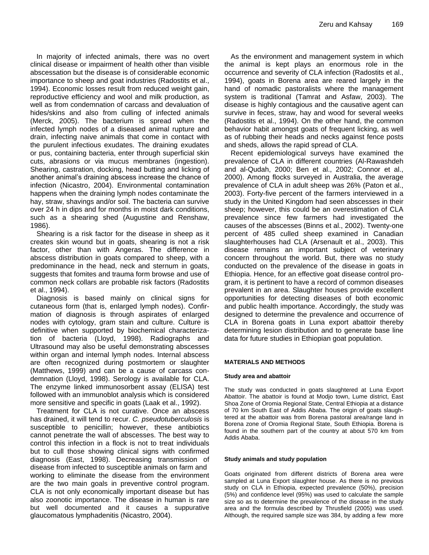In majority of infected animals, there was no overt clinical disease or impairment of health other than visible abscessation but the disease is of considerable economic importance to sheep and goat industries (Radostits et al., 1994). Economic losses result from reduced weight gain, reproductive efficiency and wool and milk production, as well as from condemnation of carcass and devaluation of hides/skins and also from culling of infected animals (Merck, 2005). The bacterium is spread when the infected lymph nodes of a diseased animal rupture and drain, infecting naive animals that come in contact with the purulent infectious exudates. The draining exudates or pus, containing bacteria, enter through superficial skin cuts, abrasions or via mucus membranes (ingestion). Shearing, castration, docking, head butting and licking of another animal's draining abscess increase the chance of infection (Nicastro, 2004). Environmental contamination happens when the draining lymph nodes contaminate the hay, straw, shavings and/or soil. The bacteria can survive over 24 h in dips and for months in moist dark conditions, such as a shearing shed (Augustine and Renshaw, 1986).

Shearing is a risk factor for the disease in sheep as it creates skin wound but in goats, shearing is not a risk factor, other than with Angeras. The difference in abscess distribution in goats compared to sheep, with a predominance in the head, neck and sternum in goats, suggests that fomites and trauma form browse and use of common neck collars are probable risk factors (Radostits et al., 1994).

Diagnosis is based mainly on clinical signs for cutaneous form (that is, enlarged lymph nodes). Confirmation of diagnosis is through aspirates of enlarged nodes with cytology, gram stain and culture. Culture is definitive when supported by biochemical characterization of bacteria (Lloyd, 1998). Radiographs and Ultrasound may also be useful demonstrating abscesses within organ and internal lymph nodes. Internal abscess are often recognized during postmortem or slaughter (Matthews, 1999) and can be a cause of carcass condemnation (Lloyd, 1998). Serology is available for CLA. The enzyme linked immunosorbent assay (ELISA) test followed with an immunoblot analysis which is considered more sensitive and specific in goats (Laak et al., 1992).

Treatment for CLA is not curative. Once an abscess has drained, it will tend to recur. *C. pseudotuberculosis* is susceptible to penicillin; however, these antibiotics cannot penetrate the wall of abscesses. The best way to control this infection in a flock is not to treat individuals but to cull those showing clinical signs with confirmed diagnosis (East, 1998). Decreasing transmission of disease from infected to susceptible animals on farm and working to eliminate the disease from the environment are the two main goals in preventive control program. CLA is not only economically important disease but has also zoonotic importance. The disease in human is rare but well documented and it causes a suppurative glaucomatous lymphadenitis (Nicastro, 2004).

As the environment and management system in which the animal is kept plays an enormous role in the occurrence and severity of CLA infection (Radostits et al., 1994), goats in Borena area are reared largely in the hand of nomadic pastoralists where the management system is traditional (Tamrat and Asfaw, 2003). The disease is highly contagious and the causative agent can survive in feces, straw, hay and wood for several weeks (Radostits et al., 1994). On the other hand, the common behavior habit amongst goats of frequent licking, as well as of rubbing their heads and necks against fence posts and sheds, allows the rapid spread of CLA.

Recent epidemiological surveys have examined the prevalence of CLA in different countries (Al-Rawashdeh and al-Qudah, 2000; Ben et al., 2002; Connor et al., 2000). Among flocks surveyed in Australia, the average prevalence of CLA in adult sheep was 26% (Paton et al., 2003). Forty-five percent of the farmers interviewed in a study in the United Kingdom had seen abscesses in their sheep; however, this could be an overestimation of CLA prevalence since few farmers had investigated the causes of the abscesses (Binns et al., 2002). Twenty-one percent of 485 culled sheep examined in Canadian slaughterhouses had CLA (Arsenault et al., 2003). This disease remains an important subject of veterinary concern throughout the world. But, there was no study conducted on the prevalence of the disease in goats in Ethiopia. Hence, for an effective goat disease control program, it is pertinent to have a record of common diseases prevalent in an area. Slaughter houses provide excellent opportunities for detecting diseases of both economic and public health importance. Accordingly, the study was designed to determine the prevalence and occurrence of CLA in Borena goats in Luna export abattoir thereby determining lesion distribution and to generate base line data for future studies in Ethiopian goat population.

# **MATERIALS AND METHODS**

#### **Study area and abattoir**

The study was conducted in goats slaughtered at Luna Export Abattoir. The abattoir is found at Modjo town, Lume district, East Shoa Zone of Oromia Regional State, Central Ethiopia at a distance of 70 km South East of Addis Ababa. The origin of goats slaughtered at the abattoir was from Borena pastoral area/range land in Borena zone of Oromia Regional State, South Ethiopia. Borena is found in the southern part of the country at about 570 km from Addis Ababa.

#### **Study animals and study population**

Goats originated from different districts of Borena area were sampled at Luna Export slaughter house. As there is no previous study on CLA in Ethiopia, expected prevalence (50%), precision (5%) and confidence level (95%) was used to calculate the sample size so as to determine the prevalence of the disease in the study area and the formula described by Thrusfield (2005) was used. Although, the required sample size was 384, by adding a few more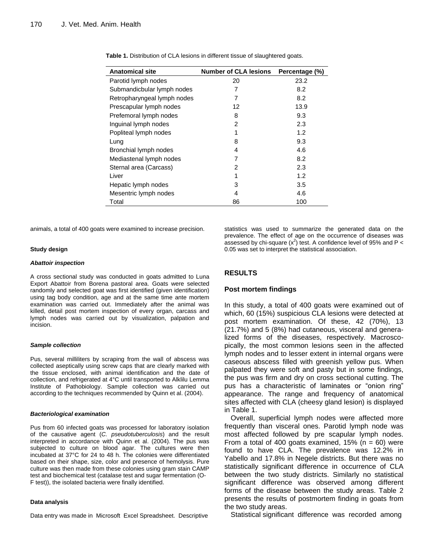| <b>Anatomical site</b>      | <b>Number of CLA lesions</b> | Percentage (%) |
|-----------------------------|------------------------------|----------------|
| Parotid lymph nodes         | 20                           | 23.2           |
| Submandicbular lymph nodes  | 7                            | 8.2            |
| Retropharyngeal lymph nodes | 7                            | 8.2            |
| Prescapular lymph nodes     | 12                           | 13.9           |
| Prefemoral lymph nodes      | 8                            | 9.3            |
| Inguinal lymph nodes        | 2                            | 2.3            |
| Popliteal lymph nodes       | 1                            | 1.2            |
| Lung                        | 8                            | 9.3            |
| Bronchial lymph nodes       | 4                            | 4.6            |
| Mediastenal lymph nodes     | 7                            | 8.2            |
| Sternal area (Carcass)      | 2                            | 2.3            |
| Liver                       |                              | 1.2            |
| Hepatic lymph nodes         | 3                            | 3.5            |
| Mesentric lymph nodes       | 4                            | 4.6            |
| Total                       | 86                           | 100            |

**Table 1.** Distribution of CLA lesions in different tissue of slaughtered goats.

animals, a total of 400 goats were examined to increase precision.

# **Study design**

#### *Abattoir inspection*

A cross sectional study was conducted in goats admitted to Luna Export Abattoir from Borena pastoral area. Goats were selected randomly and selected goat was first identified (given identification) using tag body condition, age and at the same time ante mortem examination was carried out. Immediately after the animal was killed, detail post mortem inspection of every organ, carcass and lymph nodes was carried out by visualization, palpation and incision.

#### *Sample collection*

Pus, several milliliters by scraping from the wall of abscess was collected aseptically using screw caps that are clearly marked with the tissue enclosed, with animal identification and the date of collection, and refrigerated at 4°C until transported to Alklilu Lemma Institute of Pathobiology. Sample collection was carried out according to the techniques recommended by Quinn et al. (2004).

#### *Bacteriological examination*

Pus from 60 infected goats was processed for laboratory isolation of the causative agent (*C. pseudotuberculosis*) and the result interpreted in accordance with Quinn et al. (2004). The pus was subjected to culture on blood agar. The cultures were then incubated at 37°C for 24 to 48 h. The colonies were differentiated based on their shape, size, color and presence of hemolysis. Pure culture was then made from these colonies using gram stain CAMP test and biochemical test (catalase test and sugar fermentation (O-F test)), the isolated bacteria were finally identified.

#### **Data analysis**

Data entry was made in Microsoft Excel Spreadsheet. Descriptive

statistics was used to summarize the generated data on the prevalence. The effect of age on the occurrence of diseases was assessed by chi-square  $(x^2)$  test. A confidence level of 95% and P < 0.05 was set to interpret the statistical association.

# **RESULTS**

# **Post mortem findings**

In this study, a total of 400 goats were examined out of which, 60 (15%) suspicious CLA lesions were detected at post mortem examination. Of these, 42 (70%), 13 (21.7%) and 5 (8%) had cutaneous, visceral and generalized forms of the diseases, respectively. Macroscopically, the most common lesions seen in the affected lymph nodes and to lesser extent in internal organs were caseous abscess filled with greenish yellow pus. When palpated they were soft and pasty but in some findings, the pus was firm and dry on cross sectional cutting. The pus has a characteristic of laminates or "onion ring" appearance. The range and frequency of anatomical sites affected with CLA (cheesy gland lesion) is displayed in Table 1.

Overall, superficial lymph nodes were affected more frequently than visceral ones. Parotid lymph node was most affected followed by pre scapular lymph nodes. From a total of 400 goats examined,  $15\%$  (n = 60) were found to have CLA. The prevalence was 12.2% in Yabello and 17.8% in Negele districts. But there was no statistically significant difference in occurrence of CLA between the two study districts. Similarly no statistical significant difference was observed among different forms of the disease between the study areas. Table 2 presents the results of postmortem finding in goats from the two study areas.

Statistical significant difference was recorded among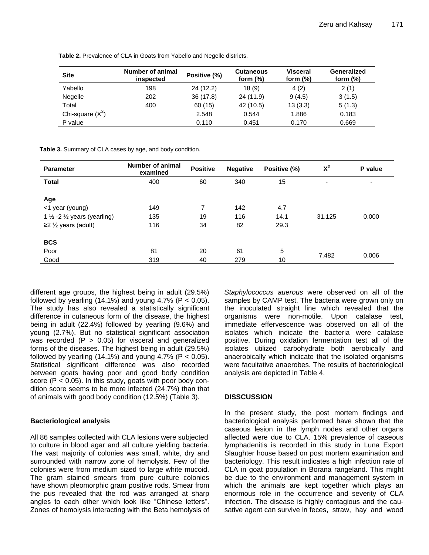| <b>Site</b>        | Number of animal<br>inspected | Positive (%) | <b>Cutaneous</b><br>form $(\%)$ | <b>Visceral</b><br>form $(\%)$ | Generalized<br>form $(\%)$ |
|--------------------|-------------------------------|--------------|---------------------------------|--------------------------------|----------------------------|
| Yabello            | 198                           | 24 (12.2)    | 18(9)                           | 4(2)                           | 2(1)                       |
| Negelle            | 202                           | 36(17.8)     | 24 (11.9)                       | 9(4.5)                         | 3(1.5)                     |
| Total              | 400                           | 60 (15)      | 42 (10.5)                       | 13(3.3)                        | 5(1.3)                     |
| Chi-square $(X^2)$ |                               | 2.548        | 0.544                           | 1.886                          | 0.183                      |
| P value            |                               | 0.110        | 0.451                           | 0.170                          | 0.669                      |

**Table 2.** Prevalence of CLA in Goats from Yabello and Negelle districts.

**Table 3.** Summary of CLA cases by age, and body condition.

| <b>Parameter</b>                                  | Number of animal<br>examined | <b>Positive</b> | <b>Negative</b> | Positive (%) | $X^2$  | P value |
|---------------------------------------------------|------------------------------|-----------------|-----------------|--------------|--------|---------|
| <b>Total</b>                                      | 400                          | 60              | 340             | 15           | ٠      | ٠       |
|                                                   |                              |                 |                 |              |        |         |
| Age                                               |                              |                 |                 |              |        |         |
| <1 year (young)                                   | 149                          | 7               | 142             | 4.7          |        |         |
| 1 $\frac{1}{2}$ -2 $\frac{1}{2}$ years (yearling) | 135                          | 19              | 116             | 14.1         | 31.125 | 0.000   |
| $\geq$ 2 $\frac{1}{2}$ years (adult)              | 116                          | 34              | 82              | 29.3         |        |         |
| <b>BCS</b>                                        |                              |                 |                 |              |        |         |
|                                                   |                              |                 |                 |              |        |         |
| Poor                                              | 81                           | 20              | 61              | 5            | 7.482  | 0.006   |
| Good                                              | 319                          | 40              | 279             | 10           |        |         |

different age groups, the highest being in adult (29.5%) followed by yearling (14.1%) and young 4.7% ( $P < 0.05$ ). The study has also revealed a statistically significant difference in cutaneous form of the disease, the highest being in adult (22.4%) followed by yearling (9.6%) and young (2.7%). But no statistical significant association was recorded  $(P > 0.05)$  for visceral and generalized forms of the diseases. The highest being in adult (29.5%) followed by yearling  $(14.1\%)$  and young 4.7% (P < 0.05). Statistical significant difference was also recorded between goats having poor and good body condition score (P < 0.05). In this study, goats with poor body condition score seems to be more infected (24.7%) than that of animals with good body condition (12.5%) (Table 3).

# **Bacteriological analysis**

All 86 samples collected with CLA lesions were subjected to culture in blood agar and all culture yielding bacteria. The vast majority of colonies was small, white, dry and surrounded with narrow zone of hemolysis. Few of the colonies were from medium sized to large white mucoid. The gram stained smears from pure culture colonies have shown pleomorphic gram positive rods. Smear from the pus revealed that the rod was arranged at sharp angles to each other which look like "Chinese letters". Zones of hemolysis interacting with the Beta hemolysis of

*Staphylococcus auerous* were observed on all of the samples by CAMP test. The bacteria were grown only on the inoculated straight line which revealed that the organisms were non-motile. Upon catalase test, immediate effervescence was observed on all of the isolates which indicate the bacteria were catalase positive. During oxidation fermentation test all of the isolates utilized carbohydrate both aerobically and anaerobically which indicate that the isolated organisms were facultative anaerobes. The results of bacteriological analysis are depicted in Table 4.

# **DISSCUSSION**

In the present study, the post mortem findings and bacteriological analysis performed have shown that the caseous lesion in the lymph nodes and other organs affected were due to CLA. 15% prevalence of caseous lymphadenitis is recorded in this study in Luna Export Slaughter house based on post mortem examination and bacteriology. This result indicates a high infection rate of CLA in goat population in Borana rangeland. This might be due to the environment and management system in which the animals are kept together which plays an enormous role in the occurrence and severity of CLA infection. The disease is highly contagious and the causative agent can survive in feces, straw, hay and wood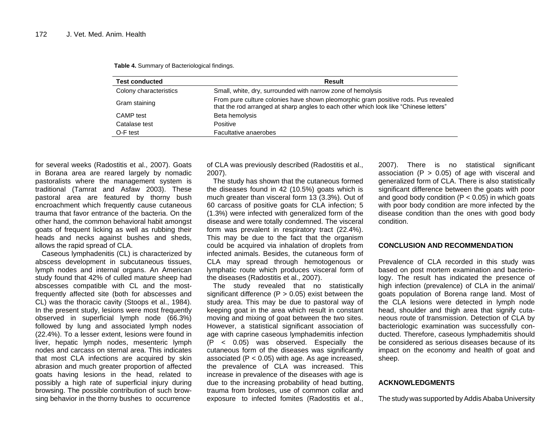| <b>Test conducted</b>  | Result                                                                                                                                                                      |
|------------------------|-----------------------------------------------------------------------------------------------------------------------------------------------------------------------------|
| Colony characteristics | Small, white, dry, surrounded with narrow zone of hemolysis                                                                                                                 |
| Gram staining          | From pure culture colonies have shown pleomorphic gram positive rods. Pus revealed<br>that the rod arranged at sharp angles to each other which look like "Chinese letters" |
| CAMP test              | Beta hemolysis                                                                                                                                                              |
| Catalase test          | Positive                                                                                                                                                                    |
| O-F test               | Facultative anaerobes                                                                                                                                                       |

**Table 4.** Summary of Bacteriological findings.

for several weeks (Radostitis et al., 2007). Goats in Borana area are reared largely by nomadic pastoralists where the management system is traditional (Tamrat and Asfaw 2003). These pastoral area are featured by thorny bush encroachment which frequently cause cutaneous trauma that favor entrance of the bacteria. On the other hand, the common behavioral habit amongst goats of frequent licking as well as rubbing their heads and necks against bushes and sheds, allows the rapid spread of CLA.

Caseous lymphadenitis (CL) is characterized by abscess development in subcutaneous tissues, lymph nodes and internal organs. An American study found that 42% of culled mature sheep had abscesses compatible with CL and the mostfrequently affected site (both for abscesses and CL) was the thoracic cavity (Stoops et al., 1984). In the present study, lesions were most frequently observed in superficial lymph node (66.3%) followed by lung and associated lymph nodes (22.4%). To a lesser extent, lesions were found in liver, hepatic lymph nodes, mesenteric lymph nodes and carcass on sternal area. This indicates that most CLA infections are acquired by skin abrasion and much greater proportion of affected goats having lesions in the head, related to possibly a high rate of superficial injury during browsing. The possible contribution of such browsing behavior in the thorny bushes to occurrence

of CLA was previously described (Radostitis et al., 2007).

The study has shown that the cutaneous formed the diseases found in 42 (10.5%) goats which is much greater than visceral form 13 (3.3%). Out of 60 carcass of positive goats for CLA infection; 5 (1.3%) were infected with generalized form of the disease and were totally condemned. The visceral form was prevalent in respiratory tract (22.4%). This may be due to the fact that the organism could be acquired via inhalation of droplets from infected animals. Besides, the cutaneous form of CLA may spread through hemotogenous or lymphatic route which produces visceral form of the diseases (Radostitis et al., 2007).

The study revealed that no statistically significant difference ( $P > 0.05$ ) exist between the study area. This may be due to pastoral way of keeping goat in the area which result in constant moving and mixing of goat between the two sites. However, a statistical significant association of age with caprine caseous lymphademitis infection (P < 0.05) was observed. Especially the cutaneous form of the diseases was significantly associated  $(P < 0.05)$  with age. As age increased, the prevalence of CLA was increased. This increase in prevalence of the diseases with age is due to the increasing probability of head butting, trauma from broloses, use of common collar and exposure to infected fomites (Radostitis et al.,

2007). There is no statistical significant association  $(P > 0.05)$  of age with visceral and generalized form of CLA. There is also statistically significant difference between the goats with poor and good body condition  $(P < 0.05)$  in which goats with poor body condition are more infected by the disease condition than the ones with good body condition.

# **CONCLUSION AND RECOMMENDATION**

Prevalence of CLA recorded in this study was based on post mortem examination and bacteriology. The result has indicated the presence of high infection (prevalence) of CLA in the animal/ goats population of Borena range land. Most of the CLA lesions were detected in lymph node head, shoulder and thigh area that signify cutaneous route of transmission. Detection of CLA by bacteriologic examination was successfully conducted. Therefore, caseous lymphademitis should be considered as serious diseases because of its impact on the economy and health of goat and sheep.

# **ACKNOWLEDGMENTS**

The study was supported by Addis Ababa University